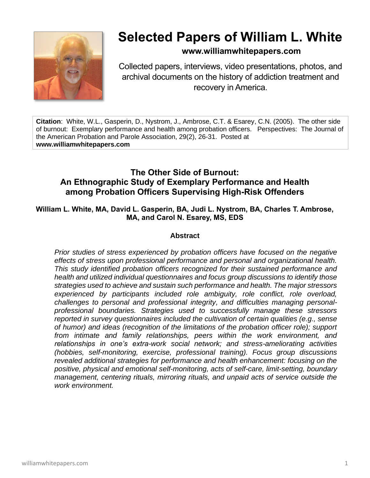

# **Selected Papers of William L. White**

# **www.williamwhitepapers.com**

Collected papers, interviews, video presentations, photos, and archival documents on the history of addiction treatment and recovery in America.

**Citation**: White, W.L., Gasperin, D., Nystrom, J., Ambrose, C.T. & Esarey, C.N. (2005). The other side of burnout: Exemplary performance and health among probation officers. Perspectives: The Journal of the American Probation and Parole Association, 29(2), 26-31. Posted at **www.williamwhitepapers.com**

# **The Other Side of Burnout: An Ethnographic Study of Exemplary Performance and Health among Probation Officers Supervising High-Risk Offenders**

## **William L. White, MA, David L. Gasperin, BA, Judi L. Nystrom, BA, Charles T. Ambrose, MA, and Carol N. Esarey, MS, EDS**

# **Abstract**

*Prior studies of stress experienced by probation officers have focused on the negative effects of stress upon professional performance and personal and organizational health. This study identified probation officers recognized for their sustained performance and health and utilized individual questionnaires and focus group discussions to identify those strategies used to achieve and sustain such performance and health. The major stressors experienced by participants included role ambiguity, role conflict, role overload, challenges to personal and professional integrity, and difficulties managing personalprofessional boundaries. Strategies used to successfully manage these stressors reported in survey questionnaires included the cultivation of certain qualities (e.g., sense of humor) and ideas (recognition of the limitations of the probation officer role); support from intimate and family relationships, peers within the work environment, and relationships in one's extra-work social network; and stress-ameliorating activities (hobbies, self-monitoring, exercise, professional training). Focus group discussions revealed additional strategies for performance and health enhancement: focusing on the positive, physical and emotional self-monitoring, acts of self-care, limit-setting, boundary management, centering rituals, mirroring rituals, and unpaid acts of service outside the work environment.*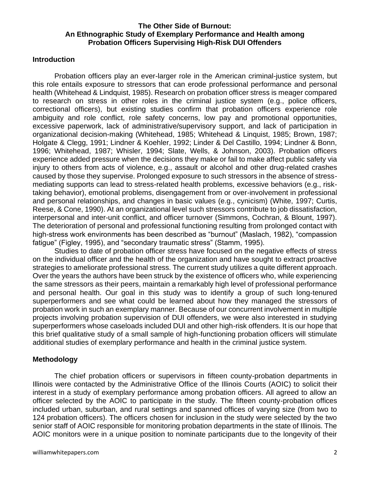#### **The Other Side of Burnout: An Ethnographic Study of Exemplary Performance and Health among Probation Officers Supervising High-Risk DUI Offenders**

#### **Introduction**

Probation officers play an ever-larger role in the American criminal-justice system, but this role entails exposure to stressors that can erode professional performance and personal health (Whitehead & Lindquist, 1985). Research on probation officer stress is meager compared to research on stress in other roles in the criminal justice system (e.g., police officers, correctional officers), but existing studies confirm that probation officers experience role ambiguity and role conflict, role safety concerns, low pay and promotional opportunities, excessive paperwork, lack of administrative/supervisory support, and lack of participation in organizational decision-making (Whitehead, 1985; Whitehead & Linquist, 1985; Brown, 1987; Holgate & Clegg, 1991; Lindner & Koehler, 1992; Linder & Del Castillo, 1994; Lindner & Bonn, 1996; Whitehead, 1987; Whisler, 1994; Slate, Wells, & Johnson, 2003). Probation officers experience added pressure when the decisions they make or fail to make affect public safety via injury to others from acts of violence, e.g., assault or alcohol and other drug-related crashes caused by those they supervise. Prolonged exposure to such stressors in the absence of stressmediating supports can lead to stress-related health problems, excessive behaviors (e.g., risktaking behavior), emotional problems, disengagement from or over-involvement in professional and personal relationships, and changes in basic values (e.g., cynicism) (White, 1997; Curtis, Reese, & Cone, 1990). At an organizational level such stressors contribute to job dissatisfaction, interpersonal and inter-unit conflict, and officer turnover (Simmons, Cochran, & Blount, 1997). The deterioration of personal and professional functioning resulting from prolonged contact with high-stress work environments has been described as "burnout" (Maslach, 1982), "compassion fatigue" (Figley, 1995), and "secondary traumatic stress" (Stamm, 1995).

Studies to date of probation officer stress have focused on the negative effects of stress on the individual officer and the health of the organization and have sought to extract proactive strategies to ameliorate professional stress. The current study utilizes a quite different approach. Over the years the authors have been struck by the existence of officers who, while experiencing the same stressors as their peers, maintain a remarkably high level of professional performance and personal health. Our goal in this study was to identify a group of such long-tenured superperformers and see what could be learned about how they managed the stressors of probation work in such an exemplary manner. Because of our concurrent involvement in multiple projects involving probation supervision of DUI offenders, we were also interested in studying superperformers whose caseloads included DUI and other high-risk offenders. It is our hope that this brief qualitative study of a small sample of high-functioning probation officers will stimulate additional studies of exemplary performance and health in the criminal justice system.

#### **Methodology**

The chief probation officers or supervisors in fifteen county-probation departments in Illinois were contacted by the Administrative Office of the Illinois Courts (AOIC) to solicit their interest in a study of exemplary performance among probation officers. All agreed to allow an officer selected by the AOIC to participate in the study. The fifteen county-probation offices included urban, suburban, and rural settings and spanned offices of varying size (from two to 124 probation officers). The officers chosen for inclusion in the study were selected by the two senior staff of AOIC responsible for monitoring probation departments in the state of Illinois. The AOIC monitors were in a unique position to nominate participants due to the longevity of their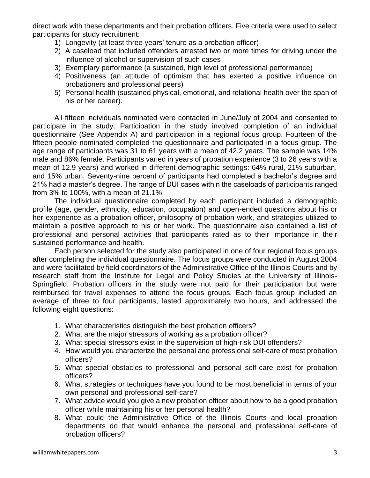direct work with these departments and their probation officers. Five criteria were used to select participants for study recruitment:

- 1) Longevity (at least three years' tenure as a probation officer)
- 2) A caseload that included offenders arrested two or more times for driving under the influence of alcohol or supervision of such cases
- 3) Exemplary performance (a sustained, high level of professional performance)
- 4) Positiveness (an attitude of optimism that has exerted a positive influence on probationers and professional peers)
- 5) Personal health (sustained physical, emotional, and relational health over the span of his or her career).

All fifteen individuals nominated were contacted in June/July of 2004 and consented to participate in the study. Participation in the study involved completion of an individual questionnaire (See Appendix A) and participation in a regional focus group. Fourteen of the fifteen people nominated completed the questionnaire and participated in a focus group. The age range of participants was 31 to 61 years with a mean of 42.2 years. The sample was 14% male and 86% female. Participants varied in years of probation experience (3 to 26 years with a mean of 12.9 years) and worked in different demographic settings: 64% rural, 21% suburban, and 15% urban. Seventy-nine percent of participants had completed a bachelor's degree and 21% had a master's degree. The range of DUI cases within the caseloads of participants ranged from 3% to 100%, with a mean of 21.1%.

The individual questionnaire completed by each participant included a demographic profile (age, gender, ethnicity, education, occupation) and open-ended questions about his or her experience as a probation officer, philosophy of probation work, and strategies utilized to maintain a positive approach to his or her work. The questionnaire also contained a list of professional and personal activities that participants rated as to their importance in their sustained performance and health.

Each person selected for the study also participated in one of four regional focus groups after completing the individual questionnaire. The focus groups were conducted in August 2004 and were facilitated by field coordinators of the Administrative Office of the Illinois Courts and by research staff from the Institute for Legal and Policy Studies at the University of Illinois-Springfield. Probation officers in the study were not paid for their participation but were reimbursed for travel expenses to attend the focus groups. Each focus group included an average of three to four participants, lasted approximately two hours, and addressed the following eight questions:

- 1. What characteristics distinguish the best probation officers?
- 2. What are the major stressors of working as a probation officer?
- 3. What special stressors exist in the supervision of high-risk DUI offenders?
- 4. How would you characterize the personal and professional self-care of most probation officers?
- 5. What special obstacles to professional and personal self-care exist for probation officers?
- 6. What strategies or techniques have you found to be most beneficial in terms of your own personal and professional self-care?
- 7. What advice would you give a new probation officer about how to be a good probation officer while maintaining his or her personal health?
- 8. What could the Administrative Office of the Illinois Courts and local probation departments do that would enhance the personal and professional self-care of probation officers?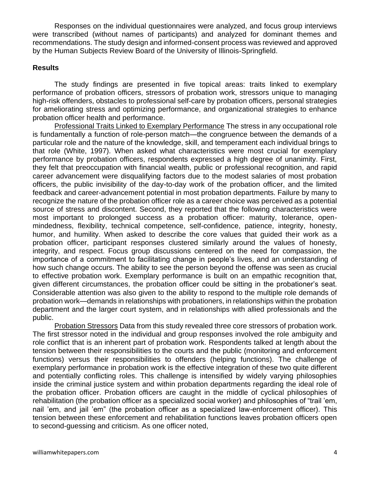Responses on the individual questionnaires were analyzed, and focus group interviews were transcribed (without names of participants) and analyzed for dominant themes and recommendations. The study design and informed-consent process was reviewed and approved by the Human Subjects Review Board of the University of Illinois-Springfield.

## **Results**

The study findings are presented in five topical areas: traits linked to exemplary performance of probation officers, stressors of probation work, stressors unique to managing high-risk offenders, obstacles to professional self-care by probation officers, personal strategies for ameliorating stress and optimizing performance, and organizational strategies to enhance probation officer health and performance.

Professional Traits Linked to Exemplary Performance The stress in any occupational role is fundamentally a function of role-person match—the congruence between the demands of a particular role and the nature of the knowledge, skill, and temperament each individual brings to that role (White, 1997). When asked what characteristics were most crucial for exemplary performance by probation officers, respondents expressed a high degree of unanimity. First, they felt that preoccupation with financial wealth, public or professional recognition, and rapid career advancement were disqualifying factors due to the modest salaries of most probation officers, the public invisibility of the day-to-day work of the probation officer, and the limited feedback and career-advancement potential in most probation departments. Failure by many to recognize the nature of the probation officer role as a career choice was perceived as a potential source of stress and discontent. Second, they reported that the following characteristics were most important to prolonged success as a probation officer: maturity, tolerance, openmindedness, flexibility, technical competence, self-confidence, patience, integrity, honesty, humor, and humility. When asked to describe the core values that guided their work as a probation officer, participant responses clustered similarly around the values of honesty, integrity, and respect. Focus group discussions centered on the need for compassion, the importance of a commitment to facilitating change in people's lives, and an understanding of how such change occurs. The ability to see the person beyond the offense was seen as crucial to effective probation work. Exemplary performance is built on an empathic recognition that, given different circumstances, the probation officer could be sitting in the probationer's seat. Considerable attention was also given to the ability to respond to the multiple role demands of probation work—demands in relationships with probationers, in relationships within the probation department and the larger court system, and in relationships with allied professionals and the public.

Probation Stressors Data from this study revealed three core stressors of probation work. The first stressor noted in the individual and group responses involved the role ambiguity and role conflict that is an inherent part of probation work. Respondents talked at length about the tension between their responsibilities to the courts and the public (monitoring and enforcement functions) versus their responsibilities to offenders (helping functions). The challenge of exemplary performance in probation work is the effective integration of these two quite different and potentially conflicting roles. This challenge is intensified by widely varying philosophies inside the criminal justice system and within probation departments regarding the ideal role of the probation officer. Probation officers are caught in the middle of cyclical philosophies of rehabilitation (the probation officer as a specialized social worker) and philosophies of "trail 'em, nail 'em, and jail 'em" (the probation officer as a specialized law-enforcement officer). This tension between these enforcement and rehabilitation functions leaves probation officers open to second-guessing and criticism. As one officer noted,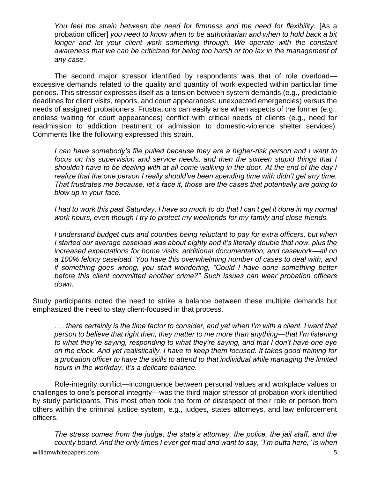*You feel the strain between the need for firmness and the need for flexibility.* [As a probation officer] *you need to know when to be authoritarian and when to hold back a bit*  longer and let your client work something through. We operate with the constant *awareness that we can be criticized for being too harsh or too lax in the management of any case.*

The second major stressor identified by respondents was that of role overload excessive demands related to the quality and quantity of work expected within particular time periods. This stressor expresses itself as a tension between system demands (e.g., predictable deadlines for client visits, reports, and court appearances; unexpected emergencies) versus the needs of assigned probationers. Frustrations can easily arise when aspects of the former (e.g., endless waiting for court appearances) conflict with critical needs of clients (e.g., need for readmission to addiction treatment or admission to domestic-violence shelter services). Comments like the following expressed this strain.

*I can have somebody's file pulled because they are a higher-risk person and I want to focus on his supervision and service needs, and then the sixteen stupid things that I shouldn't have to be dealing with at all come walking in the door. At the end of the day I realize that the one person I really should've been spending time with didn't get any time. That frustrates me because, let's face it, those are the cases that potentially are going to blow up in your face.*

*I had to work this past Saturday. I have so much to do that I can't get it done in my normal work hours, even though I try to protect my weekends for my family and close friends.* 

*I* understand budget cuts and counties being reluctant to pay for extra officers, but when *I started our average caseload was about eighty and it's literally double that now, plus the increased expectations for home visits, additional documentation, and casework—all on a 100% felony caseload. You have this overwhelming number of cases to deal with, and if something goes wrong, you start wondering, "Could I have done something better before this client committed another crime?" Such issues can wear probation officers down.* 

Study participants noted the need to strike a balance between these multiple demands but emphasized the need to stay client-focused in that process.

*. . . there certainly is the time factor to consider, and yet when I'm with a client, I want that person to believe that right then, they matter to me more than anything—that I'm listening to what they're saying, responding to what they're saying, and that I don't have one eye on the clock. And yet realistically, I have to keep them focused. It takes good training for a probation officer to have the skills to attend to that individual while managing the limited hours in the workday. It's a delicate balance.*

Role-integrity conflict—incongruence between personal values and workplace values or challenges to one's personal integrity—was the third major stressor of probation work identified by study participants. This most often took the form of disrespect of their role or person from others within the criminal justice system, e.g., judges, states attorneys, and law enforcement officers.

*The stress comes from the judge, the state's attorney, the police, the jail staff, and the county board. And the only times I ever get mad and want to say, "I'm outta here," is when*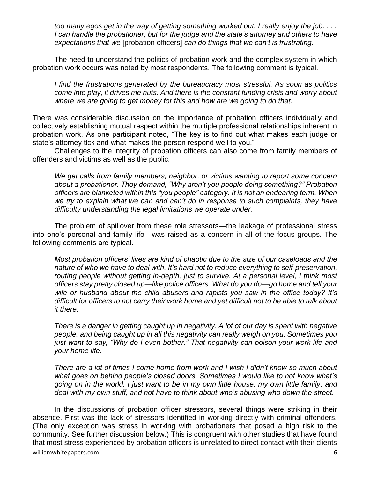*too many egos get in the way of getting something worked out. I really enjoy the job. . . . I can handle the probationer, but for the judge and the state's attorney and others to have expectations that we* [probation officers] *can do things that we can't is frustrating.*

The need to understand the politics of probation work and the complex system in which probation work occurs was noted by most respondents. The following comment is typical.

*I find the frustrations generated by the bureaucracy most stressful. As soon as politics come into play, it drives me nuts. And there is the constant funding crisis and worry about where we are going to get money for this and how are we going to do that.*

There was considerable discussion on the importance of probation officers individually and collectively establishing mutual respect within the multiple professional relationships inherent in probation work. As one participant noted, "The key is to find out what makes each judge or state's attorney tick and what makes the person respond well to you."

Challenges to the integrity of probation officers can also come from family members of offenders and victims as well as the public.

*We get calls from family members, neighbor, or victims wanting to report some concern about a probationer. They demand, "Why aren't you people doing something?" Probation officers are blanketed within this "you people" category. It is not an endearing term. When we try to explain what we can and can't do in response to such complaints, they have difficulty understanding the legal limitations we operate under.* 

The problem of spillover from these role stressors—the leakage of professional stress into one's personal and family life—was raised as a concern in all of the focus groups. The following comments are typical.

*Most probation officers' lives are kind of chaotic due to the size of our caseloads and the nature of who we have to deal with. It's hard not to reduce everything to self-preservation,*  routing people without getting in-depth, just to survive. At a personal level, I think most *officers stay pretty closed up—like police officers. What do you do—go home and tell your wife or husband about the child abusers and rapists you saw in the office today? It's difficult for officers to not carry their work home and yet difficult not to be able to talk about it there.* 

*There is a danger in getting caught up in negativity. A lot of our day is spent with negative people, and being caught up in all this negativity can really weigh on you. Sometimes you just want to say, "Why do I even bother." That negativity can poison your work life and your home life.*

*There are a lot of times I come home from work and I wish I didn't know so much about what goes on behind people's closed doors. Sometimes I would like to not know what's going on in the world. I just want to be in my own little house, my own little family, and deal with my own stuff, and not have to think about who's abusing who down the street.* 

In the discussions of probation officer stressors, several things were striking in their absence. First was the lack of stressors identified in working directly with criminal offenders. (The only exception was stress in working with probationers that posed a high risk to the community. See further discussion below.) This is congruent with other studies that have found that most stress experienced by probation officers is unrelated to direct contact with their clients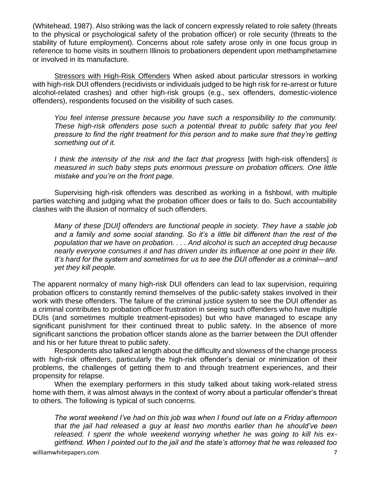(Whitehead, 1987). Also striking was the lack of concern expressly related to role safety (threats to the physical or psychological safety of the probation officer) or role security (threats to the stability of future employment). Concerns about role safety arose only in one focus group in reference to home visits in southern Illinois to probationers dependent upon methamphetamine or involved in its manufacture.

Stressors with High-Risk Offenders When asked about particular stressors in working with high-risk DUI offenders (recidivists or individuals judged to be high risk for re-arrest or future alcohol-related crashes) and other high-risk groups (e.g., sex offenders, domestic-violence offenders), respondents focused on the visibility of such cases.

*You feel intense pressure because you have such a responsibility to the community. These high-risk offenders pose such a potential threat to public safety that you feel pressure to find the right treatment for this person and to make sure that they're getting something out of it.* 

*I think the intensity of the risk and the fact that progress* [with high-risk offenders] *is measured in such baby steps puts enormous pressure on probation officers. One little mistake and you're on the front page.* 

Supervising high-risk offenders was described as working in a fishbowl, with multiple parties watching and judging what the probation officer does or fails to do. Such accountability clashes with the illusion of normalcy of such offenders.

*Many of these [DUI] offenders are functional people in society. They have a stable job and a family and some social standing. So it's a little bit different than the rest of the population that we have on probation. . . . And alcohol is such an accepted drug because nearly everyone consumes it and has driven under its influence at one point in their life. It's hard for the system and sometimes for us to see the DUI offender as a criminal—and yet they kill people.*

The apparent normalcy of many high-risk DUI offenders can lead to lax supervision, requiring probation officers to constantly remind themselves of the public-safety stakes involved in their work with these offenders. The failure of the criminal justice system to see the DUI offender as a criminal contributes to probation officer frustration in seeing such offenders who have multiple DUIs (and sometimes multiple treatment-episodes) but who have managed to escape any significant punishment for their continued threat to public safety. In the absence of more significant sanctions the probation officer stands alone as the barrier between the DUI offender and his or her future threat to public safety.

Respondents also talked at length about the difficulty and slowness of the change process with high-risk offenders, particularly the high-risk offender's denial or minimization of their problems, the challenges of getting them to and through treatment experiences, and their propensity for relapse.

When the exemplary performers in this study talked about taking work-related stress home with them, it was almost always in the context of worry about a particular offender's threat to others. The following is typical of such concerns.

*The worst weekend I've had on this job was when I found out late on a Friday afternoon that the jail had released a guy at least two months earlier than he should've been released. I spent the whole weekend worrying whether he was going to kill his exgirlfriend. When I pointed out to the jail and the state's attorney that he was released too*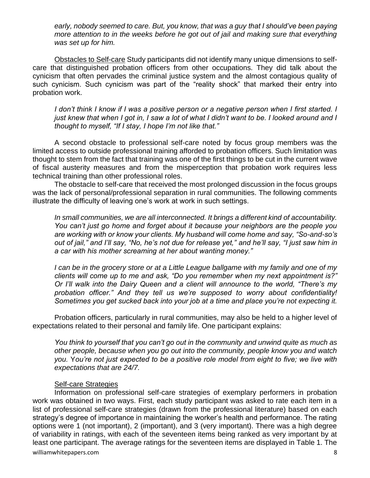*early, nobody seemed to care. But, you know, that was a guy that I should've been paying more attention to in the weeks before he got out of jail and making sure that everything was set up for him.* 

Obstacles to Self-care Study participants did not identify many unique dimensions to selfcare that distinguished probation officers from other occupations. They did talk about the cynicism that often pervades the criminal justice system and the almost contagious quality of such cynicism. Such cynicism was part of the "reality shock" that marked their entry into probation work.

*I don't think I know if I was a positive person or a negative person when I first started. I just knew that when I got in, I saw a lot of what I didn't want to be. I looked around and I thought to myself, "If I stay, I hope I'm not like that."*

A second obstacle to professional self-care noted by focus group members was the limited access to outside professional training afforded to probation officers. Such limitation was thought to stem from the fact that training was one of the first things to be cut in the current wave of fiscal austerity measures and from the misperception that probation work requires less technical training than other professional roles.

The obstacle to self-care that received the most prolonged discussion in the focus groups was the lack of personal/professional separation in rural communities. The following comments illustrate the difficulty of leaving one's work at work in such settings.

*In small communities, we are all interconnected. It brings a different kind of accountability. You can't just go home and forget about it because your neighbors are the people you are working with or know your clients. My husband will come home and say, "So-and-so's out of jail," and I'll say, "No, he's not due for release yet," and he'll say, "I just saw him in a car with his mother screaming at her about wanting money."* 

*I can be in the grocery store or at a Little League ballgame with my family and one of my clients will come up to me and ask, "Do you remember when my next appointment is?" Or I'll walk into the Dairy Queen and a client will announce to the world, "There's my probation officer." And they tell us we're supposed to worry about confidentiality! Sometimes you get sucked back into your job at a time and place you're not expecting it.* 

Probation officers, particularly in rural communities, may also be held to a higher level of expectations related to their personal and family life. One participant explains:

*You think to yourself that you can't go out in the community and unwind quite as much as other people, because when you go out into the community, people know you and watch you.* Y*ou're not just expected to be a positive role model from eight to five; we live with expectations that are 24/7.*

#### Self-care Strategies

williamwhitepapers.com 8 Information on professional self-care strategies of exemplary performers in probation work was obtained in two ways. First, each study participant was asked to rate each item in a list of professional self-care strategies (drawn from the professional literature) based on each strategy's degree of importance in maintaining the worker's health and performance. The rating options were 1 (not important), 2 (important), and 3 (very important). There was a high degree of variability in ratings, with each of the seventeen items being ranked as very important by at least one participant. The average ratings for the seventeen items are displayed in Table 1. The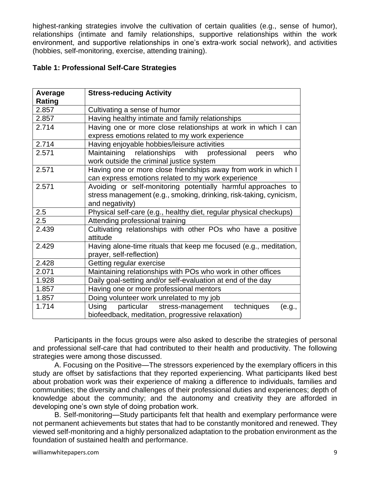highest-ranking strategies involve the cultivation of certain qualities (e.g., sense of humor), relationships (intimate and family relationships, supportive relationships within the work environment, and supportive relationships in one's extra-work social network), and activities (hobbies, self-monitoring, exercise, attending training).

## **Table 1: Professional Self-Care Strategies**

| Average | <b>Stress-reducing Activity</b>                                    |
|---------|--------------------------------------------------------------------|
| Rating  |                                                                    |
| 2.857   | Cultivating a sense of humor                                       |
| 2.857   | Having healthy intimate and family relationships                   |
| 2.714   | Having one or more close relationships at work in which I can      |
|         | express emotions related to my work experience                     |
| 2.714   | Having enjoyable hobbies/leisure activities                        |
| 2.571   | Maintaining relationships with professional<br>who<br>peers        |
|         | work outside the criminal justice system                           |
| 2.571   | Having one or more close friendships away from work in which I     |
|         | can express emotions related to my work experience                 |
| 2.571   | Avoiding or self-monitoring potentially harmful approaches to      |
|         | stress management (e.g., smoking, drinking, risk-taking, cynicism, |
|         | and negativity)                                                    |
| 2.5     | Physical self-care (e.g., healthy diet, regular physical checkups) |
| 2.5     | Attending professional training                                    |
| 2.439   | Cultivating relationships with other POs who have a positive       |
|         | attitude                                                           |
| 2.429   | Having alone-time rituals that keep me focused (e.g., meditation,  |
|         | prayer, self-reflection)                                           |
| 2.428   | Getting regular exercise                                           |
| 2.071   | Maintaining relationships with POs who work in other offices       |
| 1.928   | Daily goal-setting and/or self-evaluation at end of the day        |
| 1.857   | Having one or more professional mentors                            |
| 1.857   | Doing volunteer work unrelated to my job                           |
| 1.714   | techniques<br>Using<br>particular stress-management<br>(e.g.,      |
|         | biofeedback, meditation, progressive relaxation)                   |

Participants in the focus groups were also asked to describe the strategies of personal and professional self-care that had contributed to their health and productivity. The following strategies were among those discussed.

A. Focusing on the Positive—The stressors experienced by the exemplary officers in this study are offset by satisfactions that they reported experiencing. What participants liked best about probation work was their experience of making a difference to individuals, families and communities; the diversity and challenges of their professional duties and experiences; depth of knowledge about the community; and the autonomy and creativity they are afforded in developing one's own style of doing probation work.

B. Self-monitoring—Study participants felt that health and exemplary performance were not permanent achievements but states that had to be constantly monitored and renewed. They viewed self-monitoring and a highly personalized adaptation to the probation environment as the foundation of sustained health and performance.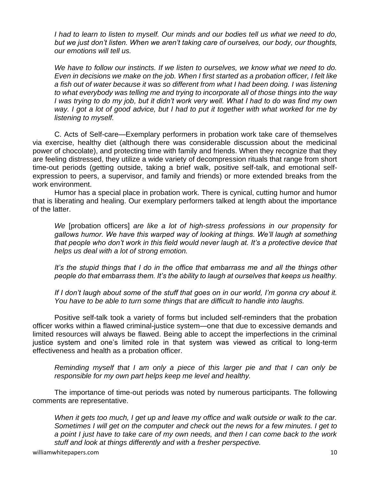*I had to learn to listen to myself. Our minds and our bodies tell us what we need to do, but we just don't listen. When we aren't taking care of ourselves, our body, our thoughts, our emotions will tell us.* 

*We have to follow our instincts. If we listen to ourselves, we know what we need to do. Even in decisions we make on the job. When I first started as a probation officer, I felt like a fish out of water because it was so different from what I had been doing. I was listening to what everybody was telling me and trying to incorporate all of those things into the way I was trying to do my job, but it didn't work very well. What I had to do was find my own way. I got a lot of good advice, but I had to put it together with what worked for me by listening to myself.* 

C. Acts of Self-care—Exemplary performers in probation work take care of themselves via exercise, healthy diet (although there was considerable discussion about the medicinal power of chocolate), and protecting time with family and friends. When they recognize that they are feeling distressed, they utilize a wide variety of decompression rituals that range from short time-out periods (getting outside, taking a brief walk, positive self-talk, and emotional selfexpression to peers, a supervisor, and family and friends) or more extended breaks from the work environment.

Humor has a special place in probation work. There is cynical, cutting humor and humor that is liberating and healing. Our exemplary performers talked at length about the importance of the latter.

*We* [probation officers] *are like a lot of high-stress professions in our propensity for gallows humor. We have this warped way of looking at things. We'll laugh at something that people who don't work in this field would never laugh at. It's a protective device that helps us deal with a lot of strong emotion.* 

*It's the stupid things that I do in the office that embarrass me and all the things other people do that embarrass them. It's the ability to laugh at ourselves that keeps us healthy.* 

*If I don't laugh about some of the stuff that goes on in our world, I'm gonna cry about it. You have to be able to turn some things that are difficult to handle into laughs.* 

Positive self-talk took a variety of forms but included self-reminders that the probation officer works within a flawed criminal-justice system—one that due to excessive demands and limited resources will always be flawed. Being able to accept the imperfections in the criminal justice system and one's limited role in that system was viewed as critical to long-term effectiveness and health as a probation officer.

*Reminding myself that I am only a piece of this larger pie and that I can only be responsible for my own part helps keep me level and healthy.* 

The importance of time-out periods was noted by numerous participants. The following comments are representative.

*When it gets too much, I get up and leave my office and walk outside or walk to the car. Sometimes I will get on the computer and check out the news for a few minutes. I get to a point I just have to take care of my own needs, and then I can come back to the work stuff and look at things differently and with a fresher perspective.*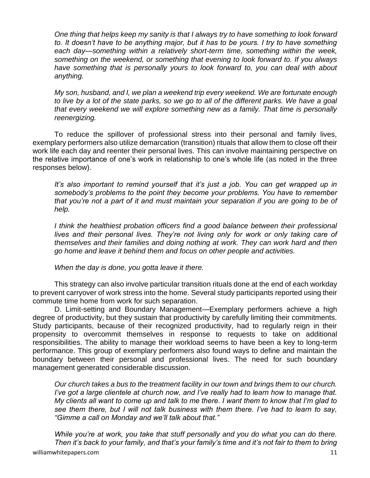*One thing that helps keep my sanity is that I always try to have something to look forward*  to. It doesn't have to be anything major, but it has to be yours. I try to have something *each day—something within a relatively short-term time, something within the week, something on the weekend, or something that evening to look forward to. If you always have something that is personally yours to look forward to, you can deal with about anything.*

*My son, husband, and I, we plan a weekend trip every weekend. We are fortunate enough to live by a lot of the state parks, so we go to all of the different parks. We have a goal that every weekend we will explore something new as a family. That time is personally reenergizing.* 

To reduce the spillover of professional stress into their personal and family lives, exemplary performers also utilize demarcation (transition) rituals that allow them to close off their work life each day and reenter their personal lives. This can involve maintaining perspective on the relative importance of one's work in relationship to one's whole life (as noted in the three responses below).

It's also important to remind yourself that it's just a job. You can get wrapped up in *somebody's problems to the point they become your problems. You have to remember that you're not a part of it and must maintain your separation if you are going to be of help.* 

*I think the healthiest probation officers find a good balance between their professional lives and their personal lives. They're not living only for work or only taking care of themselves and their families and doing nothing at work. They can work hard and then go home and leave it behind them and focus on other people and activities.* 

*When the day is done, you gotta leave it there.*

This strategy can also involve particular transition rituals done at the end of each workday to prevent carryover of work stress into the home. Several study participants reported using their commute time home from work for such separation.

D. Limit-setting and Boundary Management—Exemplary performers achieve a high degree of productivity, but they sustain that productivity by carefully limiting their commitments. Study participants, because of their recognized productivity, had to regularly reign in their propensity to overcommit themselves in response to requests to take on additional responsibilities. The ability to manage their workload seems to have been a key to long-term performance. This group of exemplary performers also found ways to define and maintain the boundary between their personal and professional lives. The need for such boundary management generated considerable discussion.

*Our church takes a bus to the treatment facility in our town and brings them to our church. I've got a large clientele at church now, and I've really had to learn how to manage that. My clients all want to come up and talk to me there. I want them to know that I'm glad to see them there, but I will not talk business with them there. I've had to learn to say, "Gimme a call on Monday and we'll talk about that."*

*While you're at work, you take that stuff personally and you do what you can do there. Then it's back to your family, and that's your family's time and it's not fair to them to bring*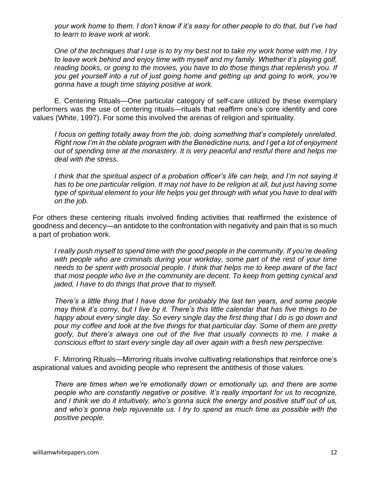*your work home to them. I don't know if it's easy for other people to do that, but I've had to learn to leave work at work.*

*One of the techniques that I use is to try my best not to take my work home with me. I try to leave work behind and enjoy time with myself and my family. Whether it's playing golf, reading books, or going to the movies, you have to do those things that replenish you. If you get yourself into a rut of just going home and getting up and going to work, you're gonna have a tough time staying positive at work.* 

E. Centering Rituals—One particular category of self-care utilized by these exemplary performers was the use of centering rituals—rituals that reaffirm one's core identity and core values (White, 1997). For some this involved the arenas of religion and spirituality.

*I focus on getting totally away from the job, doing something that's completely unrelated. Right now I'm in the oblate program with the Benedictine nuns, and I get a lot of enjoyment out of spending time at the monastery. It is very peaceful and restful there and helps me deal with the stress.*

I think that the spiritual aspect of a probation officer's life can help, and I'm not saying it *has to be one particular religion. It may not have to be religion at all, but just having some type of spiritual element to your life helps you get through with what you have to deal with on the job.* 

For others these centering rituals involved finding activities that reaffirmed the existence of goodness and decency—an antidote to the confrontation with negativity and pain that is so much a part of probation work.

*I really push myself to spend time with the good people in the community. If you're dealing with people who are criminals during your workday, some part of the rest of your time needs to be spent with prosocial people*. *I think that helps me to keep aware of the fact that most people who live in the community are decent. To keep from getting cynical and jaded, I have to do things that prove that to myself.* 

*There's a little thing that I have done for probably the last ten years, and some people may think it's corny, but I live by it. There's this little calendar that has five things to be happy about every single day. So every single day the first thing that I do is go down and pour my coffee and look at the five things for that particular day. Some of them are pretty goofy, but there's always one out of the five that usually connects to me. I make a conscious effort to start every single day all over again with a fresh new perspective.* 

F. Mirroring Rituals—Mirroring rituals involve cultivating relationships that reinforce one's aspirational values and avoiding people who represent the antithesis of those values.

*There are times when we're emotionally down or emotionally up, and there are some people who are constantly negative or positive. It's really important for us to recognize, and I think we do it intuitively, who's gonna suck the energy and positive stuff out of us, and who's gonna help rejuvenate us. I try to spend as much time as possible with the positive people.*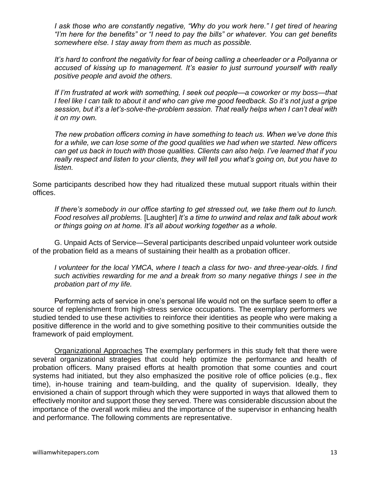*I ask those who are constantly negative, "Why do you work here." I get tired of hearing "I'm here for the benefits" or "I need to pay the bills" or whatever. You can get benefits somewhere else. I stay away from them as much as possible.*

*It's hard to confront the negativity for fear of being calling a cheerleader or a Pollyanna or accused of kissing up to management. It's easier to just surround yourself with really positive people and avoid the others.* 

*If I'm frustrated at work with something, I seek out people—a coworker or my boss—that I feel like I can talk to about it and who can give me good feedback. So it's not just a gripe session, but it's a let's-solve-the-problem session. That really helps when I can't deal with it on my own.*

*The new probation officers coming in have something to teach us. When we've done this for a while, we can lose some of the good qualities we had when we started. New officers can get us back in touch with those qualities. Clients can also help. I've learned that if you really respect and listen to your clients, they will tell you what's going on, but you have to listen.* 

Some participants described how they had ritualized these mutual support rituals within their offices.

*If there's somebody in our office starting to get stressed out, we take them out to lunch. Food resolves all problems.* [Laughter] *It's a time to unwind and relax and talk about work or things going on at home. It's all about working together as a whole.* 

G. Unpaid Acts of Service—Several participants described unpaid volunteer work outside of the probation field as a means of sustaining their health as a probation officer.

*I volunteer for the local YMCA, where I teach a class for two- and three-year-olds. I find such activities rewarding for me and a break from so many negative things I see in the probation part of my life.* 

Performing acts of service in one's personal life would not on the surface seem to offer a source of replenishment from high-stress service occupations. The exemplary performers we studied tended to use these activities to reinforce their identities as people who were making a positive difference in the world and to give something positive to their communities outside the framework of paid employment.

Organizational Approaches The exemplary performers in this study felt that there were several organizational strategies that could help optimize the performance and health of probation officers. Many praised efforts at health promotion that some counties and court systems had initiated, but they also emphasized the positive role of office policies (e.g., flex time), in-house training and team-building, and the quality of supervision. Ideally, they envisioned a chain of support through which they were supported in ways that allowed them to effectively monitor and support those they served. There was considerable discussion about the importance of the overall work milieu and the importance of the supervisor in enhancing health and performance. The following comments are representative.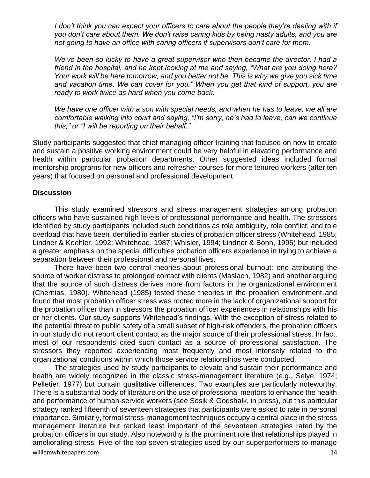*I don't think you can expect your officers to care about the people they're dealing with if you don't care about them. We don't raise caring kids by being nasty adults, and you are not going to have an office with caring officers if supervisors don't care for them.* 

We've been so lucky to have a great supervisor who then became the director. I had a *friend in the hospital, and he kept looking at me and saying, "What are you doing here? Your work will be here tomorrow, and you better not be. This is why we give you sick time and vacation time. We can cover for you." When you get that kind of support, you are ready to work twice as hard when you come back.*

*We have one officer with a son with special needs, and when he has to leave, we all are comfortable walking into court and saying, "I'm sorry, he's had to leave, can we continue this," or "I will be reporting on their behalf."*

Study participants suggested that chief managing officer training that focused on how to create and sustain a positive working environment could be very helpful in elevating performance and health within particular probation departments. Other suggested ideas included formal mentorship programs for new officers and refresher courses for more tenured workers (after ten years) that focused on personal and professional development.

#### **Discussion**

This study examined stressors and stress management strategies among probation officers who have sustained high levels of professional performance and health. The stressors identified by study participants included such conditions as role ambiguity, role conflict, and role overload that have been identified in earlier studies of probation officer stress (Whitehead, 1985; Lindner & Koehler, 1992; Whitehead, 1987; Whisler, 1994; Lindner & Bonn, 1996) but included a greater emphasis on the special difficulties probation officers experience in trying to achieve a separation between their professional and personal lives.

There have been two central theories about professional burnout: one attributing the source of worker distress to prolonged contact with clients (Maslach, 1982) and another arguing that the source of such distress derives more from factors in the organizational environment (Chernias, 1980). Whitehead (1985) tested these theories in the probation environment and found that most probation officer stress was rooted more in the lack of organizational support for the probation officer than in stressors the probation officer experiences in relationships with his or her clients. Our study supports Whitehead's findings. With the exception of stress related to the potential threat to public safety of a small subset of high-risk offenders, the probation officers in our study did not report client contact as the major source of their professional stress. In fact, most of our respondents cited such contact as a source of professional satisfaction. The stressors they reported experiencing most frequently and most intensely related to the organizational conditions within which those service relationships were conducted.

williamwhitepapers.com 14 The strategies used by study participants to elevate and sustain their performance and health are widely recognized in the classic stress-management literature (e.g., Selye, 1974; Pelletier, 1977) but contain qualitative differences. Two examples are particularly noteworthy. There is a substantial body of literature on the use of professional mentors to enhance the health and performance of human-service workers (see Sosik & Godshalk, in press), but this particular strategy ranked fifteenth of seventeen strategies that participants were asked to rate in personal importance. Similarly, formal stress-management techniques occupy a central place in the stress management literature but ranked least important of the seventeen strategies rated by the probation officers in our study. Also noteworthy is the prominent role that relationships played in ameliorating stress. Five of the top seven strategies used by our superperformers to manage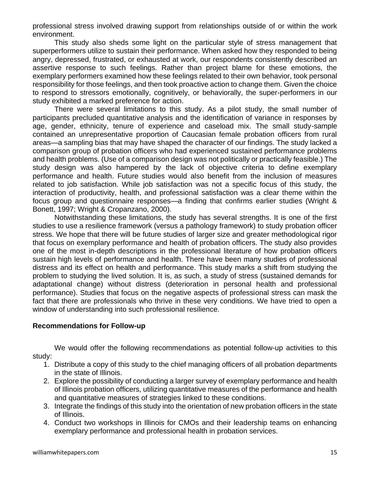professional stress involved drawing support from relationships outside of or within the work environment.

This study also sheds some light on the particular style of stress management that superperformers utilize to sustain their performance. When asked how they responded to being angry, depressed, frustrated, or exhausted at work, our respondents consistently described an assertive response to such feelings. Rather than project blame for these emotions, the exemplary performers examined how these feelings related to their own behavior, took personal responsibility for those feelings, and then took proactive action to change them. Given the choice to respond to stressors emotionally, cognitively, or behaviorally, the super-performers in our study exhibited a marked preference for action.

There were several limitations to this study. As a pilot study, the small number of participants precluded quantitative analysis and the identification of variance in responses by age, gender, ethnicity, tenure of experience and caseload mix. The small study-sample contained an unrepresentative proportion of Caucasian female probation officers from rural areas—a sampling bias that may have shaped the character of our findings. The study lacked a comparison group of probation officers who had experienced sustained performance problems and health problems. (Use of a comparison design was not politically or practically feasible.) The study design was also hampered by the lack of objective criteria to define exemplary performance and health. Future studies would also benefit from the inclusion of measures related to job satisfaction. While job satisfaction was not a specific focus of this study, the interaction of productivity, health, and professional satisfaction was a clear theme within the focus group and questionnaire responses—a finding that confirms earlier studies (Wright & Bonett, 1997; Wright & Cropanzano, 2000).

Notwithstanding these limitations, the study has several strengths. It is one of the first studies to use a resilience framework (versus a pathology framework) to study probation officer stress. We hope that there will be future studies of larger size and greater methodological rigor that focus on exemplary performance and health of probation officers. The study also provides one of the most in-depth descriptions in the professional literature of how probation officers sustain high levels of performance and health. There have been many studies of professional distress and its effect on health and performance. This study marks a shift from studying the problem to studying the lived solution. It is, as such, a study of stress (sustained demands for adaptational change) without distress (deterioration in personal health and professional performance). Studies that focus on the negative aspects of professional stress can mask the fact that there are professionals who thrive in these very conditions. We have tried to open a window of understanding into such professional resilience.

## **Recommendations for Follow-up**

We would offer the following recommendations as potential follow-up activities to this study:

- 1. Distribute a copy of this study to the chief managing officers of all probation departments in the state of Illinois.
- 2. Explore the possibility of conducting a larger survey of exemplary performance and health of Illinois probation officers, utilizing quantitative measures of the performance and health and quantitative measures of strategies linked to these conditions.
- 3. Integrate the findings of this study into the orientation of new probation officers in the state of Illinois.
- 4. Conduct two workshops in Illinois for CMOs and their leadership teams on enhancing exemplary performance and professional health in probation services.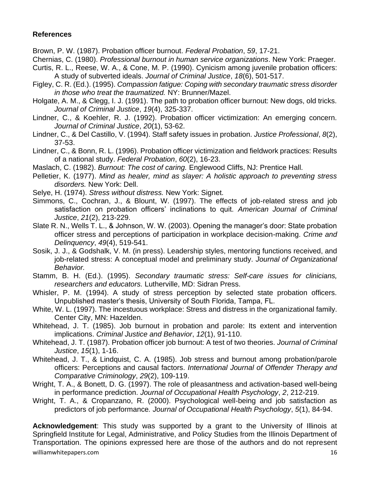# **References**

Brown, P. W. (1987). Probation officer burnout. *Federal Probation*, *59*, 17-21.

- Chernias, C. (1980). *Professional burnout in human service organizations*. New York: Praeger.
- Curtis, R. L., Reese, W. A., & Cone, M. P. (1990). Cynicism among juvenile probation officers: A study of subverted ideals. *Journal of Criminal Justice*, *18*(6), 501-517.
- Figley, C. R. (Ed.). (1995). *Compassion fatigue: Coping with secondary traumatic stress disorder in those who treat the traumatized.* NY: Brunner/Mazel.
- Holgate, A. M., & Clegg, I. J. (1991). The path to probation officer burnout: New dogs, old tricks. *Journal of Criminal Justice*, *19*(4), 325-337.
- Lindner, C., & Koehler, R. J. (1992). Probation officer victimization: An emerging concern. *Journal of Criminal Justice*, *20*(1), 53-62.
- Lindner, C., & Del Castillo, V. (1994). Staff safety issues in probation. *Justice Professional*, *8*(2), 37-53.
- Lindner, C., & Bonn, R. L. (1996). Probation officer victimization and fieldwork practices: Results of a national study. *Federal Probation*, *60*(2), 16-23.
- Maslach, C. (1982). *Burnout: The cost of caring.* Englewood Cliffs, NJ: Prentice Hall.
- Pelletier, K. (1977). *Mind as healer, mind as slayer: A holistic approach to preventing stress disorders.* New York: Dell.
- Selye, H. (1974). *Stress without distress.* New York: Signet.
- Simmons, C., Cochran, J., & Blount, W. (1997). The effects of job-related stress and job satisfaction on probation officers' inclinations to quit. *American Journal of Criminal Justice*, *21*(2), 213-229.
- Slate R. N., Wells T. L., & Johnson, W. W. (2003). Opening the manager's door: State probation officer stress and perceptions of participation in workplace decision-making. *Crime and Delinquency*, *49*(4), 519-541.
- Sosik, J. J., & Godshalk, V. M. (in press). Leadership styles, mentoring functions received, and job-related stress: A conceptual model and preliminary study. *Journal of Organizational Behavior.*
- Stamm, B. H. (Ed.). (1995). *Secondary traumatic stress: Self-care issues for clinicians, researchers and educators.* Lutherville, MD: Sidran Press.
- Whisler, P. M. (1994). A study of stress perception by selected state probation officers. Unpublished master's thesis, University of South Florida, Tampa, FL.
- White, W. L. (1997). The incestuous workplace: Stress and distress in the organizational family. Center City, MN: Hazelden.
- Whitehead, J. T. (1985). Job burnout in probation and parole: Its extent and intervention implications. *Criminal Justice and Behavior*, *12*(1), 91-110.
- Whitehead, J. T. (1987). Probation officer job burnout: A test of two theories. *Journal of Criminal Justice*, *15*(1), 1-16.
- Whitehead, J. T., & Lindquist, C. A. (1985). Job stress and burnout among probation/parole officers: Perceptions and causal factors. *International Journal of Offender Therapy and Comparative Criminology*, *29*(2), 109-119.
- Wright, T. A., & Bonett, D. G. (1997). The role of pleasantness and activation-based well-being in performance prediction. *Journal of Occupational Health Psychology*, *2*, 212-219.
- Wright, T. A., & Cropanzano, R. (2000). Psychological well-being and job satisfaction as predictors of job performance*. Journal of Occupational Health Psychology*, *5*(1), 84-94.

williamwhitepapers.com and the community of the community of the community of the community of the community of the community of the community of the community of the community of the community of the community of the comm **Acknowledgement**: This study was supported by a grant to the University of Illinois at Springfield Institute for Legal, Administrative, and Policy Studies from the Illinois Department of Transportation. The opinions expressed here are those of the authors and do not represent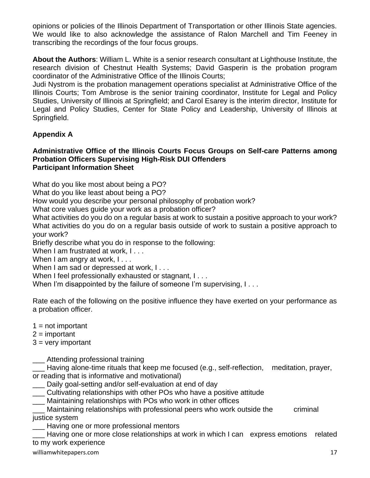opinions or policies of the Illinois Department of Transportation or other Illinois State agencies. We would like to also acknowledge the assistance of Ralon Marchell and Tim Feeney in transcribing the recordings of the four focus groups.

**About the Authors**: William L. White is a senior research consultant at Lighthouse Institute, the research division of Chestnut Health Systems; David Gasperin is the probation program coordinator of the Administrative Office of the Illinois Courts;

Judi Nystrom is the probation management operations specialist at Administrative Office of the Illinois Courts; Tom Ambrose is the senior training coordinator, Institute for Legal and Policy Studies, University of Illinois at Springfield; and Carol Esarey is the interim director, Institute for Legal and Policy Studies, Center for State Policy and Leadership, University of Illinois at Springfield.

# **Appendix A**

#### **Administrative Office of the Illinois Courts Focus Groups on Self-care Patterns among Probation Officers Supervising High-Risk DUI Offenders Participant Information Sheet**

What do you like most about being a PO?

What do you like least about being a PO?

How would you describe your personal philosophy of probation work?

What core values guide your work as a probation officer?

What activities do you do on a regular basis at work to sustain a positive approach to your work? What activities do you do on a regular basis outside of work to sustain a positive approach to your work?

Briefly describe what you do in response to the following:

When I am frustrated at work, I . . .

When I am angry at work, I...

When I am sad or depressed at work, I...

When I feel professionally exhausted or stagnant, I...

When I'm disappointed by the failure of someone I'm supervising, I...

Rate each of the following on the positive influence they have exerted on your performance as a probation officer.

- $1 = not important$
- $2 =$  important
- $3 =$  very important

Attending professional training

Having alone-time rituals that keep me focused (e.g., self-reflection, meditation, prayer, or reading that is informative and motivational)

- \_\_\_ Daily goal-setting and/or self-evaluation at end of day
- \_\_\_ Cultivating relationships with other POs who have a positive attitude
- \_\_\_ Maintaining relationships with POs who work in other offices
- Maintaining relationships with professional peers who work outside the criminal justice system
- Having one or more professional mentors

Having one or more close relationships at work in which I can express emotions related to my work experience